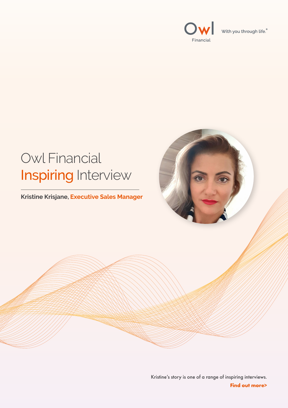



## Kristine's story is one of a range of inspiring interviews. **Find out more>**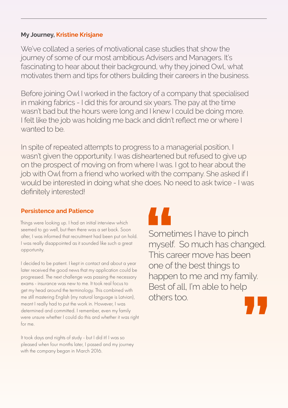We've collated a series of motivational case studies that show the journey of some of our most ambitious Advisers and Managers. It's fascinating to hear about their background, why they joined Owl, what motivates them and tips for others building their careers in the business.

Before joining Owl I worked in the factory of a company that specialised in making fabrics - I did this for around six years. The pay at the time wasn't bad but the hours were long and I knew I could be doing more. I felt like the job was holding me back and didn't reflect me or where I wanted to be.

In spite of repeated attempts to progress to a managerial position, I wasn't given the opportunity. I was disheartened but refused to give up on the prospect of moving on from where I was. I got to hear about the job with Owl from a friend who worked with the company. She asked if I would be interested in doing what she does. No need to ask twice - I was definitely interested!





Things were looking up. I had an initial interview which seemed to go well, but then there was a set back. Soon after, I was informed that recruitment had been put on hold. I was really disappointed as it sounded like such a great opportunity.

I decided to be patient. I kept in contact and about a year later received the good news that my application could be progressed. The next challenge was passing the necessary exams - insurance was new to me. It took real focus to get my head around the terminology. This combined with me still mastering English (my natural language is Latvian), meant I really had to put the work in. However, I was determined and committed. I remember, even my family

# **My Journey, Kristine Krisjane**

### **Persistence and Patience**

were unsure whether I could do this and whether it was right for me.

It took days and nights of study - but I did it! I was so pleased when four months later, I passed and my journey with the company began in March 2016.